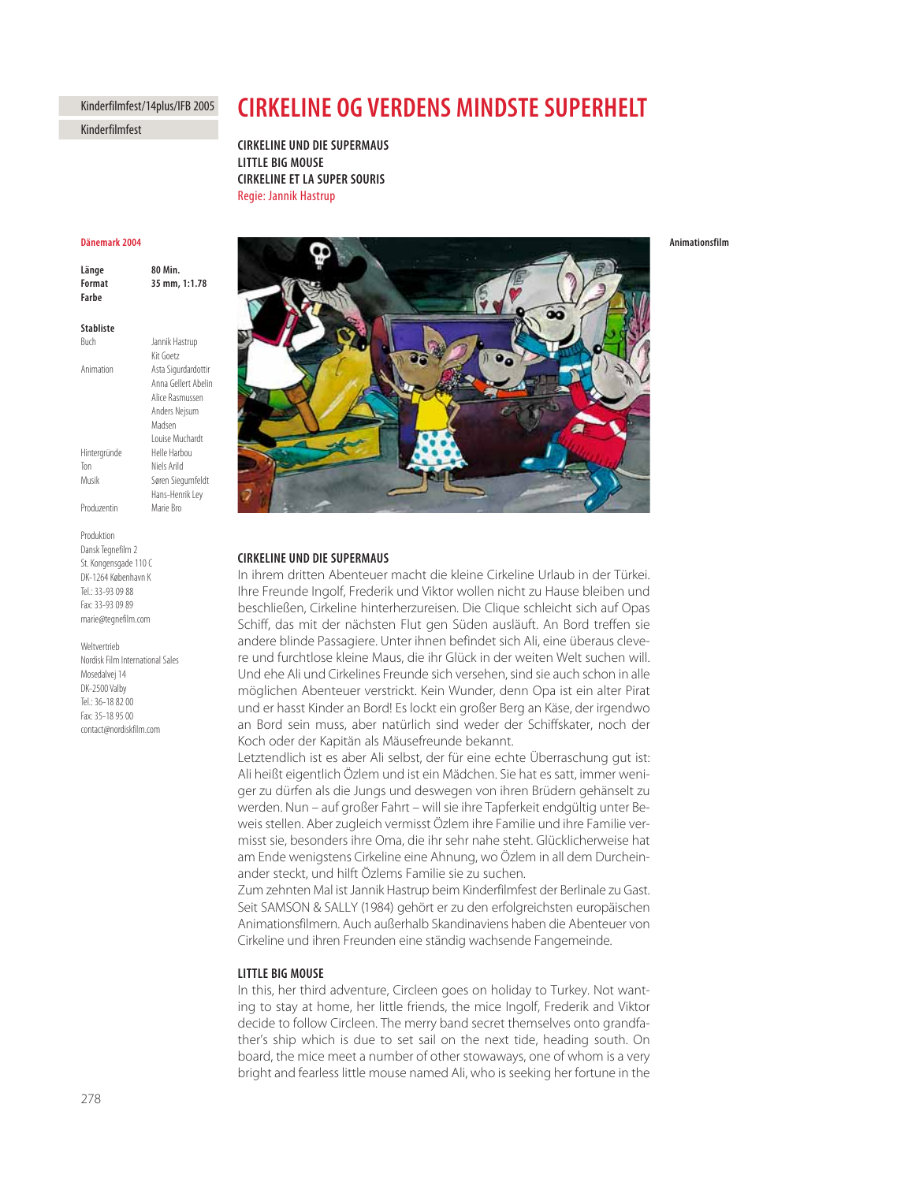# Kinderfilmfest/14plus/IFB 2005

Kinderfilmfest

# **CIRKELINE OG VERDENS MINDSTE SUPERHEIT CIRKELINE OG VERDENS MINDSTE SUPERHELT**

**LITTLE BIG MOUSE CIRKELINE ET LA SUPER SOURIS COMING**<br>Regie: Jannik Hastrup

# Dänemark 2004

80 Min Länge **Format** 35 mm, 1:1.78 **Format 35 mm, 1:1.78**

## **Stabliste**

| Buch         | Jannik Hastrup      |
|--------------|---------------------|
|              | Kit Goetz           |
| Animation    | Asta Sigurdardottir |
|              | Anna Gellert Abelir |
|              | Alice Rasmussen     |
|              | Anders Nejsum       |
|              | Madsen              |
|              | I ouise Muchardt    |
| Hintergründe | Helle Harbou        |
| Ton          | Niels Arild         |
| Musik        | Søren Siegumfeldt   |
|              | Hans-Henrik Ley     |
| Produzentin  | Marie Bro           |
|              |                     |

Produktion Dansk Tegnefilm 2 St. Kongensgade 110 C DK-1264 København K Tel.: 33-93 09 88 Fax: 33-93 09 89 marie@tegnefilm.com

Weltvertrieb Nordisk Film International Sales Mosedalvej 14 DK-2500 Valby Tel.: 36-18 82 00 Fax: 35-18 95 00 contact@nordiskfilm.com



# **CIRKELINE UND DIE SUPERMAUS**

In ihrem dritten Abenteuer macht die kleine Cirkeline Urlaub in der Türkei. Ihre Freunde Ingolf, Frederik und Viktor wollen nicht zu Hause bleiben und beschließen, Cirkeline hinterherzureisen. Die Clique schleicht sich auf Opas Schiff, das mit der nächsten Flut gen Süden ausläuft. An Bord treffen sie andere blinde Passagiere. Unter ihnen befindet sich Ali, eine überaus clevere und furchtlose kleine Maus, die ihr Glück in der weiten Welt suchen will. Und ehe Ali und Cirkelines Freunde sich versehen, sind sie auch schon in alle möglichen Abenteuer verstrickt. Kein Wunder, denn Opa ist ein alter Pirat und er hasst Kinder an Bord! Es lockt ein großer Berg an Käse, der irgendwo an Bord sein muss, aber natürlich sind weder der Schiffskater, noch der Koch oder der Kapitän als Mäusefreunde bekannt.

Letztendlich ist es aber Ali selbst, der für eine echte Überraschung gut ist: Ali heißt eigentlich Özlem und ist ein Mädchen. Sie hat es satt, immer weniger zu dürfen als die Jungs und deswegen von ihren Brüdern gehänselt zu werden. Nun – auf großer Fahrt – will sie ihre Tapferkeit endgültig unter Beweis stellen. Aber zugleich vermisst Özlem ihre Familie und ihre Familie vermisst sie, besonders ihre Oma, die ihr sehr nahe steht. Glücklicherweise hat am Ende wenigstens Cirkeline eine Ahnung, wo Özlem in all dem Durcheinander steckt, und hilft Özlems Familie sie zu suchen.

Zum zehnten Mal ist Jannik Hastrup beim Kinderfilmfest der Berlinale zu Gast. Seit SAMSON & SALLY (1984) gehört er zu den erfolgreichsten europäischen Animationsfilmern. Auch außerhalb Skandinaviens haben die Abenteuer von Cirkeline und ihren Freunden eine ständig wachsende Fangemeinde.

In this, her third adventure, Circleen goes on holiday to Turkey. Not wanting to stay at home, her little friends, the mice Ingolf, Frederik and Viktor decide to follow Circleen. The merry band secret themselves onto grandfather's ship which is due to set sail on the next tide, heading south. On board, the mice meet a number of other stowaways, one of whom is a very bright and fearless little mouse named Ali, who is seeking her fortune in the

Animationsfilm